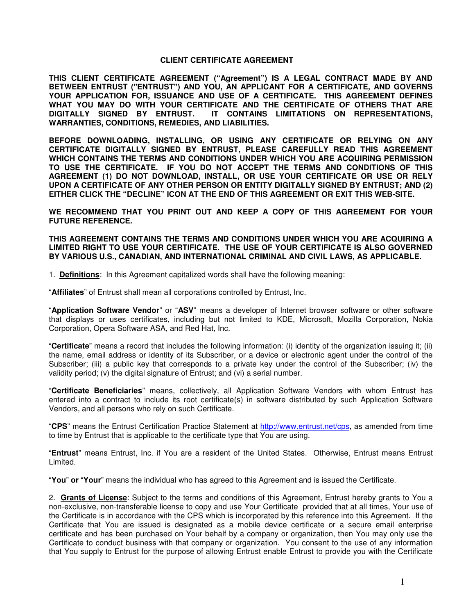## **CLIENT CERTIFICATE AGREEMENT**

**THIS CLIENT CERTIFICATE AGREEMENT ("Agreement") IS A LEGAL CONTRACT MADE BY AND BETWEEN ENTRUST ("ENTRUST") AND YOU, AN APPLICANT FOR A CERTIFICATE, AND GOVERNS YOUR APPLICATION FOR, ISSUANCE AND USE OF A CERTIFICATE. THIS AGREEMENT DEFINES WHAT YOU MAY DO WITH YOUR CERTIFICATE AND THE CERTIFICATE OF OTHERS THAT ARE DIGITALLY SIGNED BY ENTRUST. IT CONTAINS LIMITATIONS ON REPRESENTATIONS, WARRANTIES, CONDITIONS, REMEDIES, AND LIABILITIES.** 

**BEFORE DOWNLOADING, INSTALLING, OR USING ANY CERTIFICATE OR RELYING ON ANY CERTIFICATE DIGITALLY SIGNED BY ENTRUST, PLEASE CAREFULLY READ THIS AGREEMENT WHICH CONTAINS THE TERMS AND CONDITIONS UNDER WHICH YOU ARE ACQUIRING PERMISSION TO USE THE CERTIFICATE. IF YOU DO NOT ACCEPT THE TERMS AND CONDITIONS OF THIS AGREEMENT (1) DO NOT DOWNLOAD, INSTALL, OR USE YOUR CERTIFICATE OR USE OR RELY UPON A CERTIFICATE OF ANY OTHER PERSON OR ENTITY DIGITALLY SIGNED BY ENTRUST; AND (2) EITHER CLICK THE "DECLINE" ICON AT THE END OF THIS AGREEMENT OR EXIT THIS WEB-SITE.** 

**WE RECOMMEND THAT YOU PRINT OUT AND KEEP A COPY OF THIS AGREEMENT FOR YOUR FUTURE REFERENCE.** 

**THIS AGREEMENT CONTAINS THE TERMS AND CONDITIONS UNDER WHICH YOU ARE ACQUIRING A LIMITED RIGHT TO USE YOUR CERTIFICATE. THE USE OF YOUR CERTIFICATE IS ALSO GOVERNED BY VARIOUS U.S., CANADIAN, AND INTERNATIONAL CRIMINAL AND CIVIL LAWS, AS APPLICABLE.** 

1. **Definitions**: In this Agreement capitalized words shall have the following meaning:

"**Affiliates**" of Entrust shall mean all corporations controlled by Entrust, Inc.

"**Application Software Vendor**" or "**ASV**" means a developer of Internet browser software or other software that displays or uses certificates, including but not limited to KDE, Microsoft, Mozilla Corporation, Nokia Corporation, Opera Software ASA, and Red Hat, Inc.

"**Certificate**" means a record that includes the following information: (i) identity of the organization issuing it; (ii) the name, email address or identity of its Subscriber, or a device or electronic agent under the control of the Subscriber; (iii) a public key that corresponds to a private key under the control of the Subscriber; (iv) the validity period; (v) the digital signature of Entrust; and (vi) a serial number.

"**Certificate Beneficiaries**" means, collectively, all Application Software Vendors with whom Entrust has entered into a contract to include its root certificate(s) in software distributed by such Application Software Vendors, and all persons who rely on such Certificate.

"**CPS**" means the Entrust Certification Practice Statement at http://www.entrust.net/cps, as amended from time to time by Entrust that is applicable to the certificate type that You are using.

"**Entrust**" means Entrust, Inc. if You are a resident of the United States. Otherwise, Entrust means Entrust Limited.

"**You**" **or** "**Your**" means the individual who has agreed to this Agreement and is issued the Certificate.

2. **Grants of License**: Subject to the terms and conditions of this Agreement, Entrust hereby grants to You a non-exclusive, non-transferable license to copy and use Your Certificate provided that at all times, Your use of the Certificate is in accordance with the CPS which is incorporated by this reference into this Agreement. If the Certificate that You are issued is designated as a mobile device certificate or a secure email enterprise certificate and has been purchased on Your behalf by a company or organization, then You may only use the Certificate to conduct business with that company or organization. You consent to the use of any information that You supply to Entrust for the purpose of allowing Entrust enable Entrust to provide you with the Certificate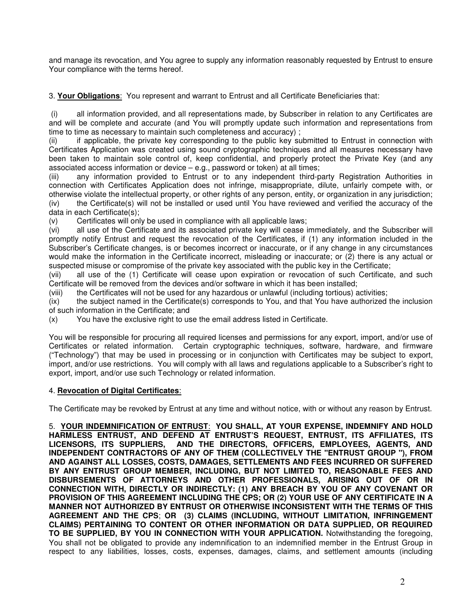and manage its revocation, and You agree to supply any information reasonably requested by Entrust to ensure Your compliance with the terms hereof.

3. **Your Obligations**: You represent and warrant to Entrust and all Certificate Beneficiaries that:

all information provided, and all representations made, by Subscriber in relation to any Certificates are and will be complete and accurate (and You will promptly update such information and representations from time to time as necessary to maintain such completeness and accuracy) ;

(ii) if applicable, the private key corresponding to the public key submitted to Entrust in connection with Certificates Application was created using sound cryptographic techniques and all measures necessary have been taken to maintain sole control of, keep confidential, and properly protect the Private Key (and any associated access information or device – e.g., password or token) at all times;

(iii) any information provided to Entrust or to any independent third-party Registration Authorities in connection with Certificates Application does not infringe, misappropriate, dilute, unfairly compete with, or otherwise violate the intellectual property, or other rights of any person, entity, or organization in any jurisdiction; (iv) the Certificate(s) will not be installed or used until You have reviewed and verified the accuracy of the data in each Certificate(s);

(v) Certificates will only be used in compliance with all applicable laws;

(vi) all use of the Certificate and its associated private key will cease immediately, and the Subscriber will promptly notify Entrust and request the revocation of the Certificates, if (1) any information included in the Subscriber's Certificate changes, is or becomes incorrect or inaccurate, or if any change in any circumstances would make the information in the Certificate incorrect, misleading or inaccurate; or (2) there is any actual or suspected misuse or compromise of the private key associated with the public key in the Certificate;

(vii) all use of the (1) Certificate will cease upon expiration or revocation of such Certificate, and such Certificate will be removed from the devices and/or software in which it has been installed;

(viii) the Certificates will not be used for any hazardous or unlawful (including tortious) activities;

(ix) the subject named in the Certificate(s) corresponds to You, and that You have authorized the inclusion of such information in the Certificate; and

(x) You have the exclusive right to use the email address listed in Certificate.

You will be responsible for procuring all required licenses and permissions for any export, import, and/or use of Certificates or related information. Certain cryptographic techniques, software, hardware, and firmware ("Technology") that may be used in processing or in conjunction with Certificates may be subject to export, import, and/or use restrictions. You will comply with all laws and regulations applicable to a Subscriber's right to export, import, and/or use such Technology or related information.

## 4. **Revocation of Digital Certificates**:

The Certificate may be revoked by Entrust at any time and without notice, with or without any reason by Entrust.

5. **YOUR INDEMNIFICATION OF ENTRUST**: **YOU SHALL, AT YOUR EXPENSE, INDEMNIFY AND HOLD HARMLESS ENTRUST, AND DEFEND AT ENTRUST'S REQUEST, ENTRUST, ITS AFFILIATES, ITS**  AND THE DIRECTORS, OFFICERS, EMPLOYEES, AGENTS, AND **INDEPENDENT CONTRACTORS OF ANY OF THEM (COLLECTIVELY THE "ENTRUST GROUP "), FROM AND AGAINST ALL LOSSES, COSTS, DAMAGES, SETTLEMENTS AND FEES INCURRED OR SUFFERED BY ANY ENTRUST GROUP MEMBER, INCLUDING, BUT NOT LIMITED TO, REASONABLE FEES AND DISBURSEMENTS OF ATTORNEYS AND OTHER PROFESSIONALS, ARISING OUT OF OR IN CONNECTION WITH, DIRECTLY OR INDIRECTLY: (1) ANY BREACH BY YOU OF ANY COVENANT OR PROVISION OF THIS AGREEMENT INCLUDING THE CPS; OR (2) YOUR USE OF ANY CERTIFICATE IN A MANNER NOT AUTHORIZED BY ENTRUST OR OTHERWISE INCONSISTENT WITH THE TERMS OF THIS AGREEMENT AND THE CPS**; **OR (3) CLAIMS (INCLUDING, WITHOUT LIMITATION, INFRINGEMENT CLAIMS) PERTAINING TO CONTENT OR OTHER INFORMATION OR DATA SUPPLIED, OR REQUIRED TO BE SUPPLIED, BY YOU IN CONNECTION WITH YOUR APPLICATION.** Notwithstanding the foregoing, You shall not be obligated to provide any indemnification to an indemnified member in the Entrust Group in respect to any liabilities, losses, costs, expenses, damages, claims, and settlement amounts (including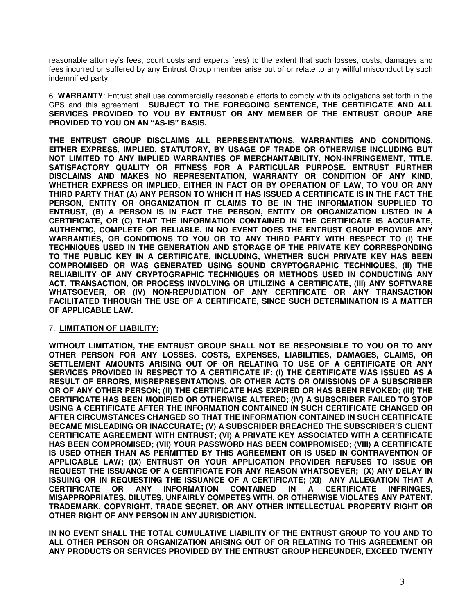reasonable attorney's fees, court costs and experts fees) to the extent that such losses, costs, damages and fees incurred or suffered by any Entrust Group member arise out of or relate to any willful misconduct by such indemnified party.

6. **WARRANTY**: Entrust shall use commercially reasonable efforts to comply with its obligations set forth in the CPS and this agreement. **SUBJECT TO THE FOREGOING SENTENCE, THE CERTIFICATE AND ALL SERVICES PROVIDED TO YOU BY ENTRUST OR ANY MEMBER OF THE ENTRUST GROUP ARE PROVIDED TO YOU ON AN "AS-IS" BASIS.** 

**THE ENTRUST GROUP DISCLAIMS ALL REPRESENTATIONS, WARRANTIES AND CONDITIONS, EITHER EXPRESS, IMPLIED, STATUTORY, BY USAGE OF TRADE OR OTHERWISE INCLUDING BUT NOT LIMITED TO ANY IMPLIED WARRANTIES OF MERCHANTABILITY, NON-INFRINGEMENT, TITLE, SATISFACTORY QUALITY OR FITNESS FOR A PARTICULAR PURPOSE. ENTRUST FURTHER DISCLAIMS AND MAKES NO REPRESENTATION, WARRANTY OR CONDITION OF ANY KIND, WHETHER EXPRESS OR IMPLIED, EITHER IN FACT OR BY OPERATION OF LAW, TO YOU OR ANY THIRD PARTY THAT (A) ANY PERSON TO WHICH IT HAS ISSUED A CERTIFICATE IS IN THE FACT THE PERSON, ENTITY OR ORGANIZATION IT CLAIMS TO BE IN THE INFORMATION SUPPLIED TO ENTRUST, (B) A PERSON IS IN FACT THE PERSON, ENTITY OR ORGANIZATION LISTED IN A CERTIFICATE, OR (C) THAT THE INFORMATION CONTAINED IN THE CERTIFICATE IS ACCURATE, AUTHENTIC, COMPLETE OR RELIABLE. IN NO EVENT DOES THE ENTRUST GROUP PROVIDE ANY WARRANTIES, OR CONDITIONS TO YOU OR TO ANY THIRD PARTY WITH RESPECT TO (I) THE TECHNIQUES USED IN THE GENERATION AND STORAGE OF THE PRIVATE KEY CORRESPONDING TO THE PUBLIC KEY IN A CERTIFICATE, INCLUDING, WHETHER SUCH PRIVATE KEY HAS BEEN COMPROMISED OR WAS GENERATED USING SOUND CRYPTOGRAPHIC TECHNIQUES, (II) THE RELIABILITY OF ANY CRYPTOGRAPHIC TECHNIQUES OR METHODS USED IN CONDUCTING ANY ACT, TRANSACTION, OR PROCESS INVOLVING OR UTILIZING A CERTIFICATE, (III) ANY SOFTWARE WHATSOEVER, OR (IV) NON-REPUDIATION OF ANY CERTIFICATE OR ANY TRANSACTION FACILITATED THROUGH THE USE OF A CERTIFICATE, SINCE SUCH DETERMINATION IS A MATTER OF APPLICABLE LAW.**

## 7. **LIMITATION OF LIABILITY**:

**WITHOUT LIMITATION, THE ENTRUST GROUP SHALL NOT BE RESPONSIBLE TO YOU OR TO ANY OTHER PERSON FOR ANY LOSSES, COSTS, EXPENSES, LIABILITIES, DAMAGES, CLAIMS, OR SETTLEMENT AMOUNTS ARISING OUT OF OR RELATING TO USE OF A CERTIFICATE OR ANY SERVICES PROVIDED IN RESPECT TO A CERTIFICATE IF: (I) THE CERTIFICATE WAS ISSUED AS A RESULT OF ERRORS, MISREPRESENTATIONS, OR OTHER ACTS OR OMISSIONS OF A SUBSCRIBER OR OF ANY OTHER PERSON; (II) THE CERTIFICATE HAS EXPIRED OR HAS BEEN REVOKED; (III) THE CERTIFICATE HAS BEEN MODIFIED OR OTHERWISE ALTERED; (IV) A SUBSCRIBER FAILED TO STOP USING A CERTIFICATE AFTER THE INFORMATION CONTAINED IN SUCH CERTIFICATE CHANGED OR AFTER CIRCUMSTANCES CHANGED SO THAT THE INFORMATION CONTAINED IN SUCH CERTIFICATE BECAME MISLEADING OR INACCURATE; (V) A SUBSCRIBER BREACHED THE SUBSCRIBER'S CLIENT CERTIFICATE AGREEMENT WITH ENTRUST; (VI) A PRIVATE KEY ASSOCIATED WITH A CERTIFICATE HAS BEEN COMPROMISED; (VII) YOUR PASSWORD HAS BEEN COMPROMISED; (VIII) A CERTIFICATE IS USED OTHER THAN AS PERMITTED BY THIS AGREEMENT OR IS USED IN CONTRAVENTION OF APPLICABLE LAW; (IX) ENTRUST OR YOUR APPLICATION PROVIDER REFUSES TO ISSUE OR REQUEST THE ISSUANCE OF A CERTIFICATE FOR ANY REASON WHATSOEVER; (X) ANY DELAY IN ISSUING OR IN REQUESTING THE ISSUANCE OF A CERTIFICATE; (XI) ANY ALLEGATION THAT A CERTIFICATE OR ANY INFORMATION CONTAINED IN A CERTIFICATE INFRINGES, MISAPPROPRIATES, DILUTES, UNFAIRLY COMPETES WITH, OR OTHERWISE VIOLATES ANY PATENT, TRADEMARK, COPYRIGHT, TRADE SECRET, OR ANY OTHER INTELLECTUAL PROPERTY RIGHT OR OTHER RIGHT OF ANY PERSON IN ANY JURISDICTION.** 

**IN NO EVENT SHALL THE TOTAL CUMULATIVE LIABILITY OF THE ENTRUST GROUP TO YOU AND TO ALL OTHER PERSON OR ORGANIZATION ARISING OUT OF OR RELATING TO THIS AGREEMENT OR ANY PRODUCTS OR SERVICES PROVIDED BY THE ENTRUST GROUP HEREUNDER, EXCEED TWENTY**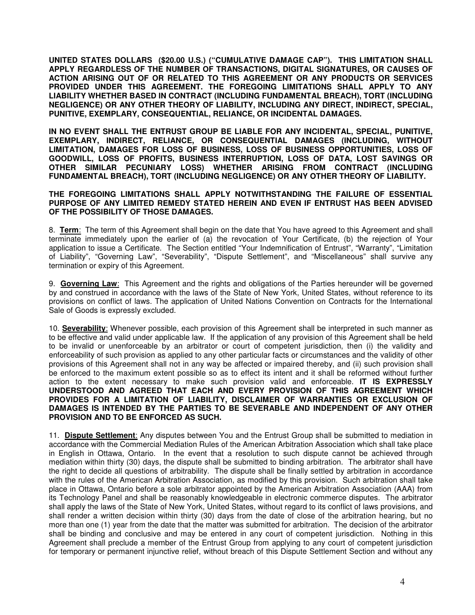**UNITED STATES DOLLARS (\$20.00 U.S.) ("CUMULATIVE DAMAGE CAP"). THIS LIMITATION SHALL APPLY REGARDLESS OF THE NUMBER OF TRANSACTIONS, DIGITAL SIGNATURES, OR CAUSES OF ACTION ARISING OUT OF OR RELATED TO THIS AGREEMENT OR ANY PRODUCTS OR SERVICES PROVIDED UNDER THIS AGREEMENT. THE FOREGOING LIMITATIONS SHALL APPLY TO ANY LIABILITY WHETHER BASED IN CONTRACT (INCLUDING FUNDAMENTAL BREACH), TORT (INCLUDING NEGLIGENCE) OR ANY OTHER THEORY OF LIABILITY, INCLUDING ANY DIRECT, INDIRECT, SPECIAL, PUNITIVE, EXEMPLARY, CONSEQUENTIAL, RELIANCE, OR INCIDENTAL DAMAGES.** 

**IN NO EVENT SHALL THE ENTRUST GROUP BE LIABLE FOR ANY INCIDENTAL, SPECIAL, PUNITIVE, EXEMPLARY, INDIRECT, RELIANCE, OR CONSEQUENTIAL DAMAGES (INCLUDING, WITHOUT LIMITATION, DAMAGES FOR LOSS OF BUSINESS, LOSS OF BUSINESS OPPORTUNITIES, LOSS OF GOODWILL, LOSS OF PROFITS, BUSINESS INTERRUPTION, LOSS OF DATA, LOST SAVINGS OR OTHER SIMILAR PECUNIARY LOSS) WHETHER ARISING FROM CONTRACT (INCLUDING FUNDAMENTAL BREACH), TORT (INCLUDING NEGLIGENCE) OR ANY OTHER THEORY OF LIABILITY.** 

## **THE FOREGOING LIMITATIONS SHALL APPLY NOTWITHSTANDING THE FAILURE OF ESSENTIAL PURPOSE OF ANY LIMITED REMEDY STATED HEREIN AND EVEN IF ENTRUST HAS BEEN ADVISED OF THE POSSIBILITY OF THOSE DAMAGES.**

8. **Term**: The term of this Agreement shall begin on the date that You have agreed to this Agreement and shall terminate immediately upon the earlier of (a) the revocation of Your Certificate, (b) the rejection of Your application to issue a Certificate. The Section entitled "Your Indemnification of Entrust", "Warranty", "Limitation of Liability", "Governing Law", "Severability", "Dispute Settlement", and "Miscellaneous" shall survive any termination or expiry of this Agreement.

9. **Governing Law**: This Agreement and the rights and obligations of the Parties hereunder will be governed by and construed in accordance with the laws of the State of New York, United States, without reference to its provisions on conflict of laws. The application of United Nations Convention on Contracts for the International Sale of Goods is expressly excluded.

10. **Severability**: Whenever possible, each provision of this Agreement shall be interpreted in such manner as to be effective and valid under applicable law. If the application of any provision of this Agreement shall be held to be invalid or unenforceable by an arbitrator or court of competent jurisdiction, then (i) the validity and enforceability of such provision as applied to any other particular facts or circumstances and the validity of other provisions of this Agreement shall not in any way be affected or impaired thereby, and (ii) such provision shall be enforced to the maximum extent possible so as to effect its intent and it shall be reformed without further action to the extent necessary to make such provision valid and enforceable. **IT IS EXPRESSLY UNDERSTOOD AND AGREED THAT EACH AND EVERY PROVISION OF THIS AGREEMENT WHICH PROVIDES FOR A LIMITATION OF LIABILITY, DISCLAIMER OF WARRANTIES OR EXCLUSION OF DAMAGES IS INTENDED BY THE PARTIES TO BE SEVERABLE AND INDEPENDENT OF ANY OTHER PROVISION AND TO BE ENFORCED AS SUCH.**

11. **Dispute Settlement**: Any disputes between You and the Entrust Group shall be submitted to mediation in accordance with the Commercial Mediation Rules of the American Arbitration Association which shall take place in English in Ottawa, Ontario. In the event that a resolution to such dispute cannot be achieved through mediation within thirty (30) days, the dispute shall be submitted to binding arbitration. The arbitrator shall have the right to decide all questions of arbitrability. The dispute shall be finally settled by arbitration in accordance with the rules of the American Arbitration Association, as modified by this provision. Such arbitration shall take place in Ottawa, Ontario before a sole arbitrator appointed by the American Arbitration Association (AAA) from its Technology Panel and shall be reasonably knowledgeable in electronic commerce disputes. The arbitrator shall apply the laws of the State of New York, United States, without regard to its conflict of laws provisions, and shall render a written decision within thirty (30) days from the date of close of the arbitration hearing, but no more than one (1) year from the date that the matter was submitted for arbitration. The decision of the arbitrator shall be binding and conclusive and may be entered in any court of competent jurisdiction. Nothing in this Agreement shall preclude a member of the Entrust Group from applying to any court of competent jurisdiction for temporary or permanent injunctive relief, without breach of this Dispute Settlement Section and without any